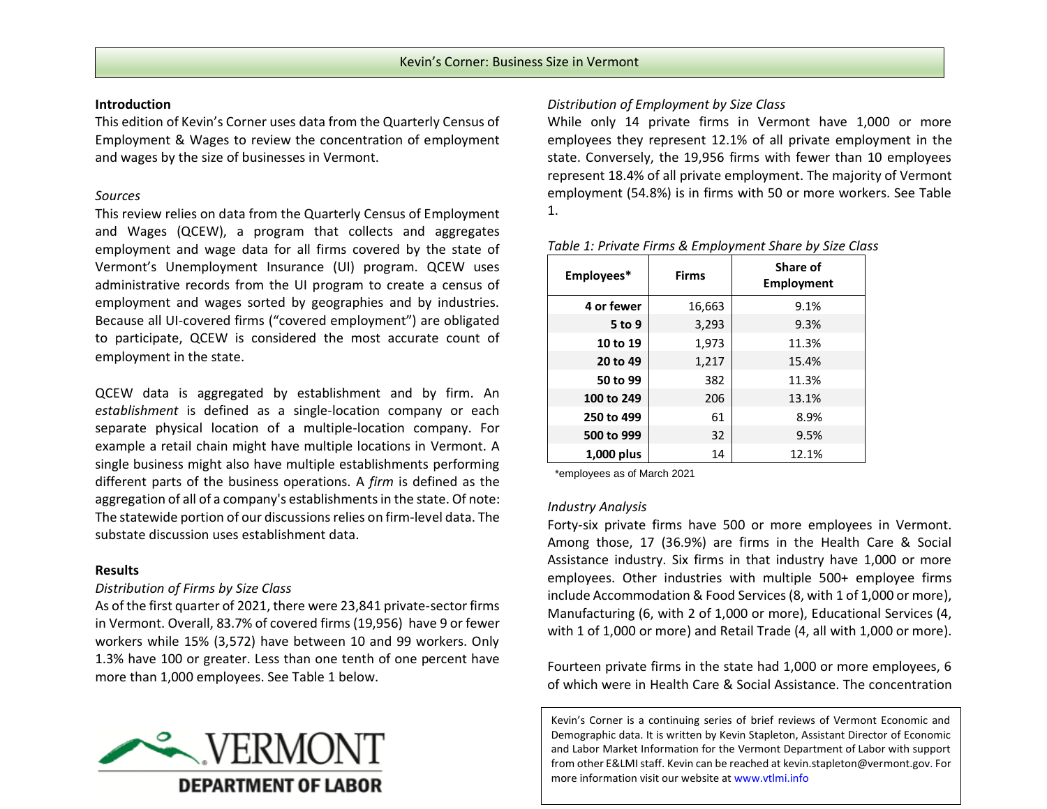### **Introduction**

This edition of Kevin's Corner uses data from the Quarterly Census of Employment & Wages to review the concentration of employment and wages by the size of businesses in Vermont.

# *Sources*

This review relies on data from the Quarterly Census of Employment and Wages (QCEW), a program that collects and aggregates employment and wage data for all firms covered by the state of Vermont's Unemployment Insurance (UI) program. QCEW uses administrative records from the UI program to create a census of employment and wages sorted by geographies and by industries. Because all UI-covered firms ("covered employment") are obligated to participate, QCEW is considered the most accurate count of employment in the state.

QCEW data is aggregated by establishment and by firm. An *establishment* is defined as a single-location company or each separate physical location of a multiple-location company. For example a retail chain might have multiple locations in Vermont. A single business might also have multiple establishments performing different parts of the business operations. A *firm* is defined as the aggregation of all of a company's establishments in the state. Of note: The statewide portion of our discussions relies on firm-level data. The substate discussion uses establishment data.

# **Results**

## *Distribution of Firms by Size Class*

As of the first quarter of 2021, there were 23,841 private-sector firms in Vermont. Overall, 83.7% of covered firms (19,956) have 9 or fewer workers while 15% (3,572) have between 10 and 99 workers. Only 1.3% have 100 or greater. Less than one tenth of one percent have more than 1,000 employees. See Table 1 below.



# *Distribution of Employment by Size Class*

While only 14 private firms in Vermont have 1,000 or more employees they represent 12.1% of all private employment in the state. Conversely, the 19,956 firms with fewer than 10 employees represent 18.4% of all private employment. The majority of Vermont employment (54.8%) is in firms with 50 or more workers. See Table 1.

| Employees* | <b>Firms</b> | Share of<br><b>Employment</b> |
|------------|--------------|-------------------------------|
| 4 or fewer | 16,663       | 9.1%                          |
| 5 to 9     | 3,293        | 9.3%                          |
| 10 to 19   | 1,973        | 11.3%                         |
| 20 to 49   | 1,217        | 15.4%                         |
| 50 to 99   | 382          | 11.3%                         |
| 100 to 249 | 206          | 13.1%                         |
| 250 to 499 | 61           | 8.9%                          |
| 500 to 999 | 32           | 9.5%                          |
| 1,000 plus | 14           | 12.1%                         |

#### *Table 1: Private Firms & Employment Share by Size Class*

\*employees as of March 2021

## *Industry Analysis*

Forty-six private firms have 500 or more employees in Vermont. Among those, 17 (36.9%) are firms in the Health Care & Social Assistance industry. Six firms in that industry have 1,000 or more employees. Other industries with multiple 500+ employee firms include Accommodation & Food Services (8, with 1 of 1,000 or more), Manufacturing (6, with 2 of 1,000 or more), Educational Services (4, with 1 of 1,000 or more) and Retail Trade (4, all with 1,000 or more).

Fourteen private firms in the state had 1,000 or more employees, 6 of which were in Health Care & Social Assistance. The concentration

Kevin's Corner is a continuing series of brief reviews of Vermont Economic and Demographic data. It is written by Kevin Stapleton, Assistant Director of Economic and Labor Market Information for the Vermont Department of Labor with support from other E&LMIstaff. Kevin can be reached a[t kevin.stapleton@vermont.gov.](mailto:kevin.stapleton@vermont.gov) For more information visit our website at www.vtlmi.info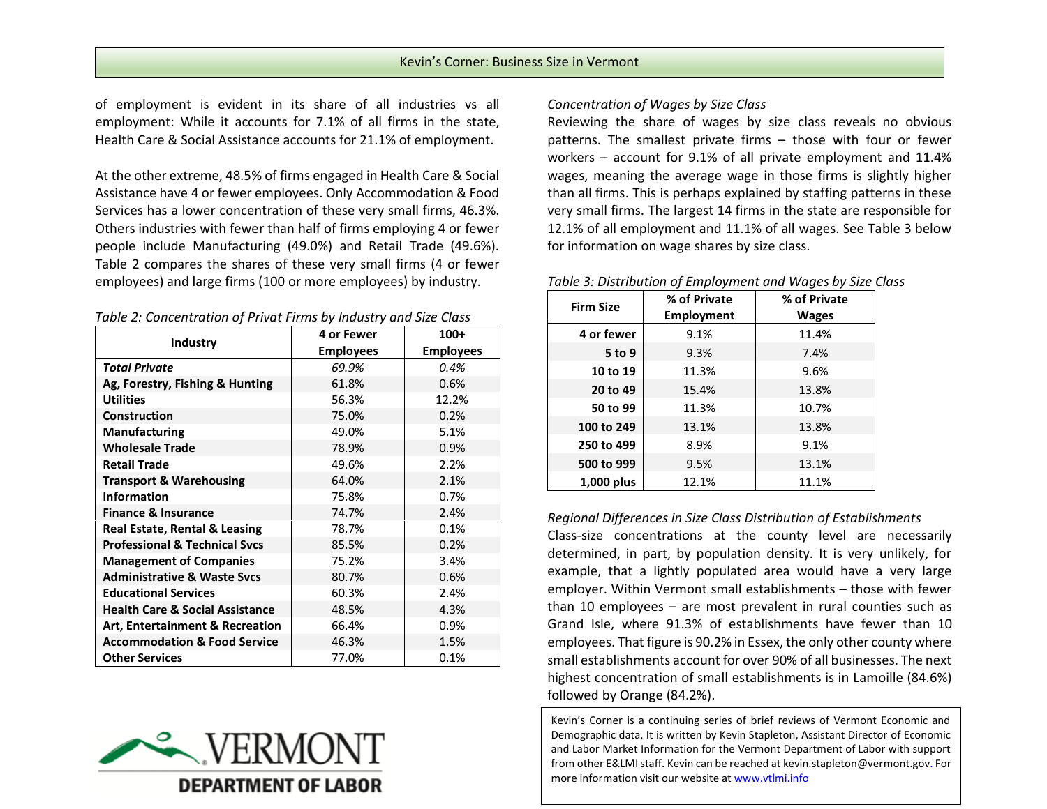of employment is evident in its share of all industries vs all employment: While it accounts for 7.1% of all firms in the state, Health Care & Social Assistance accounts for 21.1% of employment.

At the other extreme, 48.5% of firms engaged in Health Care & Social Assistance have 4 or fewer employees. Only Accommodation & Food Services has a lower concentration of these very small firms, 46.3%. Others industries with fewer than half of firms employing 4 or fewer people include Manufacturing (49.0%) and Retail Trade (49.6%). Table 2 compares the shares of these very small firms (4 or fewer employees) and large firms (100 or more employees) by industry.

| Table 2: Concentration of Privat Firms by Industry and Size Class |  |  |  |  |  |
|-------------------------------------------------------------------|--|--|--|--|--|
|-------------------------------------------------------------------|--|--|--|--|--|

|                                            | <b>4 or Fewer</b> | $100+$           |  |
|--------------------------------------------|-------------------|------------------|--|
| Industry                                   | <b>Employees</b>  | <b>Employees</b> |  |
| <b>Total Private</b>                       | 69.9%             | 0.4%             |  |
| Ag, Forestry, Fishing & Hunting            | 61.8%             | 0.6%             |  |
| <b>Utilities</b>                           | 56.3%             | 12.2%            |  |
| <b>Construction</b>                        | 75.0%             | 0.2%             |  |
| <b>Manufacturing</b>                       | 49.0%             | 5.1%             |  |
| <b>Wholesale Trade</b>                     | 78.9%             | 0.9%             |  |
| <b>Retail Trade</b>                        | 49.6%             | 2.2%             |  |
| <b>Transport &amp; Warehousing</b>         | 64.0%             | 2.1%             |  |
| <b>Information</b>                         | 75.8%             | 0.7%             |  |
| <b>Finance &amp; Insurance</b>             | 74.7%             | 2.4%             |  |
| <b>Real Estate, Rental &amp; Leasing</b>   | 78.7%             | 0.1%             |  |
| <b>Professional &amp; Technical Svcs</b>   | 85.5%             | 0.2%             |  |
| <b>Management of Companies</b>             | 75.2%             | 3.4%             |  |
| <b>Administrative &amp; Waste Svcs</b>     | 80.7%             | 0.6%             |  |
| <b>Educational Services</b>                | 60.3%             | 2.4%             |  |
| <b>Health Care &amp; Social Assistance</b> | 48.5%             | 4.3%             |  |
| <b>Art, Entertainment &amp; Recreation</b> | 66.4%             | 0.9%             |  |
| <b>Accommodation &amp; Food Service</b>    | 46.3%             | 1.5%             |  |
| <b>Other Services</b>                      | 77.0%             | 0.1%             |  |



## *Concentration of Wages by Size Class*

Reviewing the share of wages by size class reveals no obvious patterns. The smallest private firms – those with four or fewer workers – account for 9.1% of all private employment and 11.4% wages, meaning the average wage in those firms is slightly higher than all firms. This is perhaps explained by staffing patterns in these very small firms. The largest 14 firms in the state are responsible for 12.1% of all employment and 11.1% of all wages. See Table 3 below for information on wage shares by size class.

#### *Table 3: Distribution of Employment and Wages by Size Class*

| <b>Firm Size</b> | % of Private<br><b>Employment</b> | % of Private<br><b>Wages</b> |
|------------------|-----------------------------------|------------------------------|
| 4 or fewer       | 9.1%                              | 11.4%                        |
| 5 to 9           | 9.3%                              | 7.4%                         |
| 10 to 19         | 11.3%                             | 9.6%                         |
| 20 to 49         | 15.4%                             | 13.8%                        |
| 50 to 99         | 11.3%                             | 10.7%                        |
| 100 to 249       | 13.1%                             | 13.8%                        |
| 250 to 499       | 8.9%                              | 9.1%                         |
| 500 to 999       | 9.5%                              | 13.1%                        |
| 1,000 plus       | 12.1%                             | 11.1%                        |

## *Regional Differences in Size Class Distribution of Establishments*

Class-size concentrations at the county level are necessarily determined, in part, by population density. It is very unlikely, for example, that a lightly populated area would have a very large employer. Within Vermont small establishments – those with fewer than 10 employees – are most prevalent in rural counties such as Grand Isle, where 91.3% of establishments have fewer than 10 employees. That figure is 90.2% in Essex, the only other county where small establishments account for over 90% of all businesses. The next highest concentration of small establishments is in Lamoille (84.6%) followed by Orange (84.2%).

Kevin's Corner is a continuing series of brief reviews of Vermont Economic and Demographic data. It is written by Kevin Stapleton, Assistant Director of Economic and Labor Market Information for the Vermont Department of Labor with support from other E&LMIstaff. Kevin can be reached a[t kevin.stapleton@vermont.gov.](mailto:kevin.stapleton@vermont.gov) For more information visit our website at www.vtlmi.info